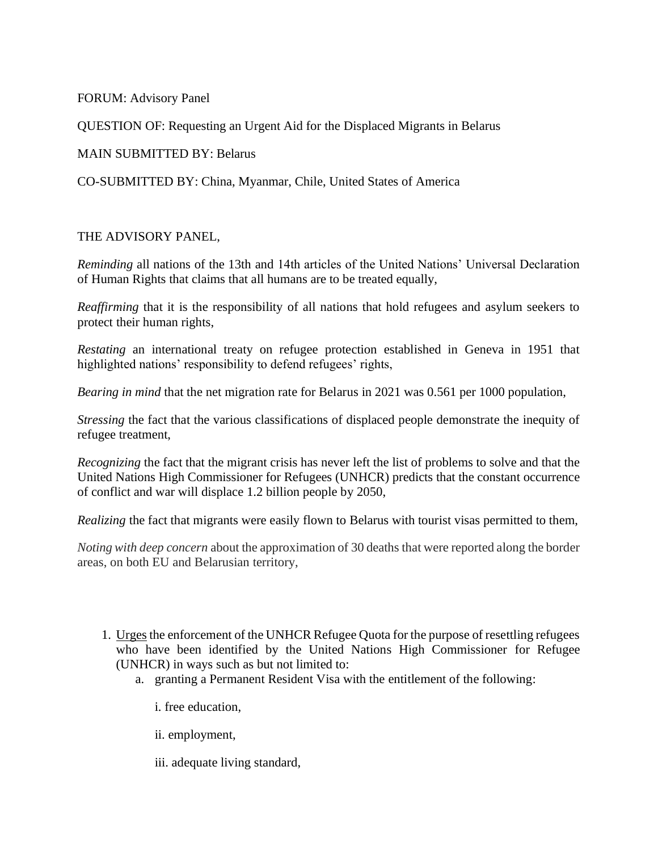FORUM: Advisory Panel

QUESTION OF: Requesting an Urgent Aid for the Displaced Migrants in Belarus

MAIN SUBMITTED BY: Belarus

CO-SUBMITTED BY: China, Myanmar, Chile, United States of America

## THE ADVISORY PANEL,

*Reminding* all nations of the 13th and 14th articles of the United Nations' Universal Declaration of Human Rights that claims that all humans are to be treated equally,

*Reaffirming* that it is the responsibility of all nations that hold refugees and asylum seekers to protect their human rights,

*Restating* an international treaty on refugee protection established in Geneva in 1951 that highlighted nations' responsibility to defend refugees' rights,

*Bearing in mind* that the net migration rate for Belarus in 2021 was 0.561 per 1000 population,

*Stressing* the fact that the various classifications of displaced people demonstrate the inequity of refugee treatment,

*Recognizing* the fact that the migrant crisis has never left the list of problems to solve and that the United Nations High Commissioner for Refugees (UNHCR) predicts that the constant occurrence of conflict and war will displace 1.2 billion people by 2050,

*Realizing* the fact that migrants were easily flown to Belarus with tourist visas permitted to them,

*Noting with deep concern* about the approximation of 30 deaths that were reported along the border areas, on both EU and Belarusian territory,

- 1. Urges the enforcement of the UNHCR Refugee Quota for the purpose of resettling refugees who have been identified by the United Nations High Commissioner for Refugee (UNHCR) in ways such as but not limited to:
	- a. granting a Permanent Resident Visa with the entitlement of the following:
		- i. free education,
		- ii. employment,

iii. adequate living standard,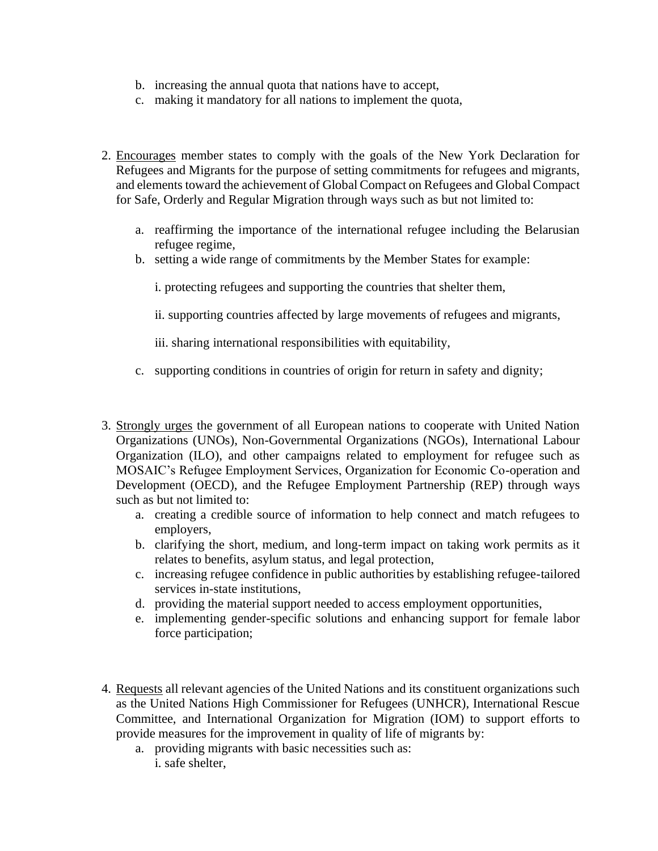- b. increasing the annual quota that nations have to accept,
- c. making it mandatory for all nations to implement the quota,
- 2. Encourages member states to comply with the goals of the New York Declaration for Refugees and Migrants for the purpose of setting commitments for refugees and migrants, and elements toward the achievement of Global Compact on Refugees and Global Compact for Safe, Orderly and Regular Migration through ways such as but not limited to:
	- a. reaffirming the importance of the international refugee including the Belarusian refugee regime,
	- b. setting a wide range of commitments by the Member States for example:
		- i. protecting refugees and supporting the countries that shelter them,
		- ii. supporting countries affected by large movements of refugees and migrants,

iii. sharing international responsibilities with equitability,

- c. supporting conditions in countries of origin for return in safety and dignity;
- 3. Strongly urges the government of all European nations to cooperate with United Nation Organizations (UNOs), Non-Governmental Organizations (NGOs), International Labour Organization (ILO), and other campaigns related to employment for refugee such as MOSAIC's Refugee Employment Services, Organization for Economic Co-operation and Development (OECD), and the Refugee Employment Partnership (REP) through ways such as but not limited to:
	- a. creating a credible source of information to help connect and match refugees to employers,
	- b. clarifying the short, medium, and long-term impact on taking work permits as it relates to benefits, asylum status, and legal protection,
	- c. increasing refugee confidence in public authorities by establishing refugee-tailored services in-state institutions,
	- d. providing the material support needed to access employment opportunities,
	- e. implementing gender-specific solutions and enhancing support for female labor force participation;
- 4. Requests all relevant agencies of the United Nations and its constituent organizations such as the United Nations High Commissioner for Refugees (UNHCR), International Rescue Committee, and International Organization for Migration (IOM) to support efforts to provide measures for the improvement in quality of life of migrants by:
	- a. providing migrants with basic necessities such as: i. safe shelter,